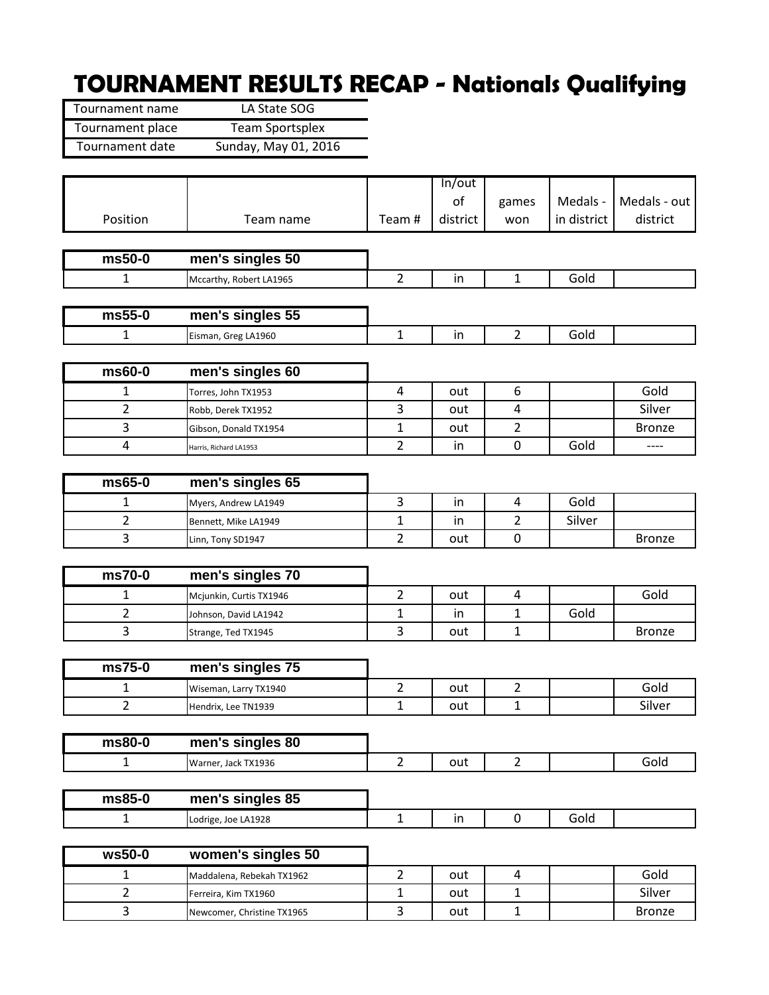## **TOURNAMENT RESULTS RECAP - Nationals Qualifying**

L.

| Tournament name  | LA State SOG           |
|------------------|------------------------|
| Tournament place | <b>Team Sportsplex</b> |
| Tournament date  | Sunday, May 01, 2016   |

|                |                                                  |                | In/out   |                |             |               |
|----------------|--------------------------------------------------|----------------|----------|----------------|-------------|---------------|
|                |                                                  |                | of       | games          | Medals -    | Medals - out  |
| Position       | Team name                                        | Team#          | district | won            | in district | district      |
|                |                                                  |                |          |                |             |               |
| $ms50-0$       | men's singles 50                                 |                |          |                |             |               |
| $\mathbf{1}$   | Mccarthy, Robert LA1965                          | $\overline{2}$ | in       | $\mathbf{1}$   | Gold        |               |
|                |                                                  |                |          |                |             |               |
| $ms55-0$       | men's singles 55                                 |                |          |                |             |               |
| 1              | Eisman, Greg LA1960                              | $\mathbf{1}$   | in       | $\overline{2}$ | Gold        |               |
| $ms60-0$       | men's singles 60                                 |                |          |                |             |               |
| 1              | Torres, John TX1953                              | 4              | out      | 6              |             | Gold          |
| $\overline{2}$ | Robb, Derek TX1952                               | 3              | out      | $\overline{4}$ |             | Silver        |
| 3              | Gibson, Donald TX1954                            | 1              | out      | $\overline{2}$ |             | <b>Bronze</b> |
| $\overline{4}$ | Harris, Richard LA1953                           | $\overline{2}$ | in       | $\mathbf 0$    | Gold        |               |
|                |                                                  |                |          |                |             |               |
| $ms65-0$       | men's singles 65                                 |                |          |                |             |               |
| $\mathbf{1}$   | Myers, Andrew LA1949                             | 3              | in       | $\overline{4}$ | Gold        |               |
| $\overline{2}$ | Bennett, Mike LA1949                             | 1              | in       | $\overline{2}$ | Silver      |               |
| 3              | Linn, Tony SD1947                                | $\overline{2}$ | out      | $\mathbf 0$    |             | <b>Bronze</b> |
| ms70-0         | men's singles 70                                 |                |          |                |             |               |
| 1              |                                                  | $\overline{2}$ | out      | $\overline{a}$ |             | Gold          |
| 2              | Mcjunkin, Curtis TX1946<br>Johnson, David LA1942 | 1              | in       | $\mathbf{1}$   | Gold        |               |
| 3              | Strange, Ted TX1945                              | $\overline{3}$ | out      | $\mathbf{1}$   |             | <b>Bronze</b> |
|                |                                                  |                |          |                |             |               |
| ms75-0         | men's singles 75                                 |                |          |                |             |               |
| 1              | Wiseman, Larry TX1940                            | $\overline{2}$ | out      | $\overline{2}$ |             | Gold          |
| $\overline{2}$ | Hendrix, Lee TN1939                              | $\mathbf 1$    | out      | $\mathbf{1}$   |             | Silver        |
|                |                                                  |                |          |                |             |               |
| ms80-0         | men's singles 80                                 |                |          |                |             |               |
| $\mathbf{1}$   | Warner, Jack TX1936                              | $2^{\circ}$    | out      | $\overline{2}$ |             | Gold          |
| ms85-0         | men's singles 85                                 |                |          |                |             |               |
| $\mathbf{1}$   | Lodrige, Joe LA1928                              | $\mathbf{1}$   | in       | $\mathbf 0$    | Gold        |               |
|                |                                                  |                |          |                |             |               |
| $ws50-0$       | women's singles 50                               |                |          |                |             |               |
| $\mathbf{1}$   | Maddalena, Rebekah TX1962                        | $\overline{2}$ | out      | $\overline{4}$ |             | Gold          |
| $\overline{2}$ | Ferreira, Kim TX1960                             | 1              | out      | $\mathbf{1}$   |             | Silver        |
| $\overline{3}$ | Newcomer, Christine TX1965                       | $\overline{3}$ | out      | $\mathbf{1}$   |             | <b>Bronze</b> |